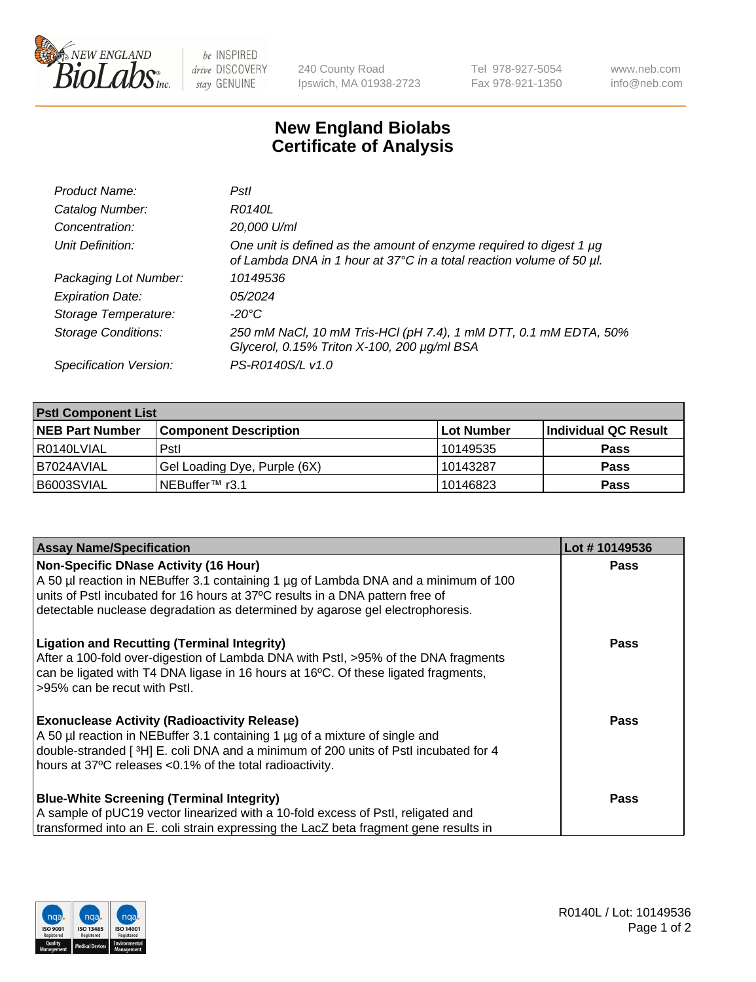

 $be$  INSPIRED drive DISCOVERY stay GENUINE

240 County Road Ipswich, MA 01938-2723 Tel 978-927-5054 Fax 978-921-1350 www.neb.com info@neb.com

## **New England Biolabs Certificate of Analysis**

| Product Name:              | Pstl                                                                                                                                        |
|----------------------------|---------------------------------------------------------------------------------------------------------------------------------------------|
| Catalog Number:            | R0140L                                                                                                                                      |
| Concentration:             | 20,000 U/ml                                                                                                                                 |
| Unit Definition:           | One unit is defined as the amount of enzyme required to digest 1 µg<br>of Lambda DNA in 1 hour at 37°C in a total reaction volume of 50 µl. |
| Packaging Lot Number:      | 10149536                                                                                                                                    |
| <b>Expiration Date:</b>    | 05/2024                                                                                                                                     |
| Storage Temperature:       | -20°C                                                                                                                                       |
| <b>Storage Conditions:</b> | 250 mM NaCl, 10 mM Tris-HCl (pH 7.4), 1 mM DTT, 0.1 mM EDTA, 50%<br>Glycerol, 0.15% Triton X-100, 200 µg/ml BSA                             |
| Specification Version:     | PS-R0140S/L v1.0                                                                                                                            |

| <b>PstI Component List</b> |                              |            |                      |  |  |
|----------------------------|------------------------------|------------|----------------------|--|--|
| <b>NEB Part Number</b>     | <b>Component Description</b> | Lot Number | Individual QC Result |  |  |
| R0140LVIAL                 | Pstl                         | l 10149535 | <b>Pass</b>          |  |  |
| B7024AVIAL                 | Gel Loading Dye, Purple (6X) | 10143287   | <b>Pass</b>          |  |  |
| B6003SVIAL                 | ⊥NEBuffer™ r3.1              | 10146823   | <b>Pass</b>          |  |  |

| <b>Assay Name/Specification</b>                                                      | Lot #10149536 |
|--------------------------------------------------------------------------------------|---------------|
| <b>Non-Specific DNase Activity (16 Hour)</b>                                         | <b>Pass</b>   |
| A 50 µl reaction in NEBuffer 3.1 containing 1 µg of Lambda DNA and a minimum of 100  |               |
| units of PstI incubated for 16 hours at 37°C results in a DNA pattern free of        |               |
| detectable nuclease degradation as determined by agarose gel electrophoresis.        |               |
| <b>Ligation and Recutting (Terminal Integrity)</b>                                   | Pass          |
| After a 100-fold over-digestion of Lambda DNA with Pstl, >95% of the DNA fragments   |               |
| can be ligated with T4 DNA ligase in 16 hours at 16°C. Of these ligated fragments,   |               |
| >95% can be recut with Pstl.                                                         |               |
| <b>Exonuclease Activity (Radioactivity Release)</b>                                  | Pass          |
| A 50 µl reaction in NEBuffer 3.1 containing 1 µg of a mixture of single and          |               |
| double-stranded [3H] E. coli DNA and a minimum of 200 units of Pstl incubated for 4  |               |
| hours at 37°C releases <0.1% of the total radioactivity.                             |               |
|                                                                                      | Pass          |
| <b>Blue-White Screening (Terminal Integrity)</b>                                     |               |
| A sample of pUC19 vector linearized with a 10-fold excess of PstI, religated and     |               |
| transformed into an E. coli strain expressing the LacZ beta fragment gene results in |               |